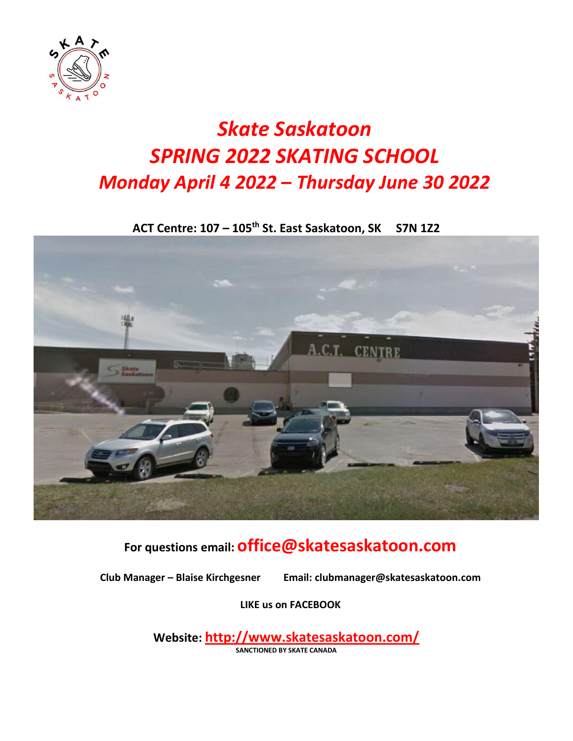

# *Skate Saskatoon SPRING 2022 SKATING SCHOOL Monday April 4 2022 – Thursday June 30 2022*

**ACT Centre: 107 – 105th St. East Saskatoon, SK S7N 1Z2**



## **For questions email: office@skatesaskatoon.com**

**Club Manager – Blaise Kirchgesner Email: [clubmanager@skatesaskatoon.com](mailto:clubmanager@skatesaskatoon.com)**

**LIKE us on FACEBOOK**

**Website: <http://www.skatesaskatoon.com/> SANCTIONED BY SKATE CANADA**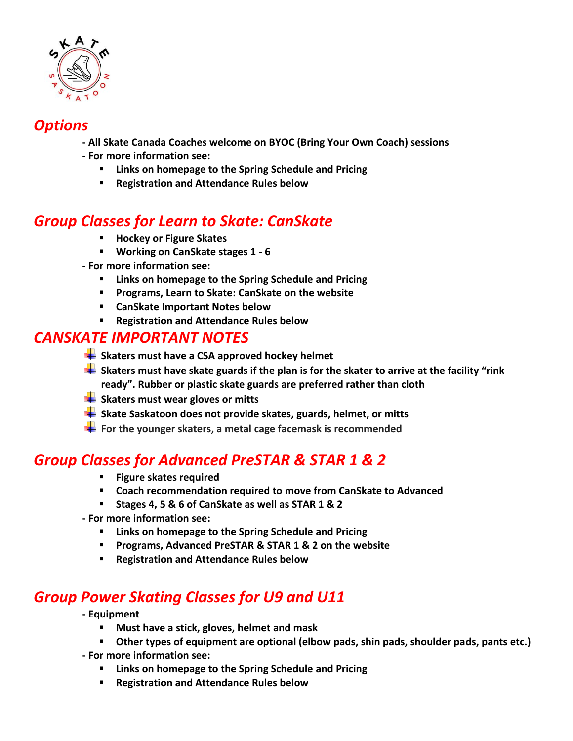

### *Options*

**- All Skate Canada Coaches welcome on BYOC (Bring Your Own Coach) sessions - For more information see:**

- **Links on homepage to the Spring Schedule and Pricing**
- **Registration and Attendance Rules below**

### *Group Classes for Learn to Skate: CanSkate*

- **Hockey or Figure Skates**
- **Working on CanSkate stages 1 - 6**
- **- For more information see:**
	- **Links on homepage to the Spring Schedule and Pricing**
	- **Programs, Learn to Skate: CanSkate on the website**
	- **CanSkate Important Notes below**
	- **Registration and Attendance Rules below**

#### *CANSKATE IMPORTANT NOTES*

- **Skaters must have a CSA approved hockey helmet**
- **Skaters must have skate guards if the plan is for the skater to arrive at the facility "rink ready". Rubber or plastic skate guards are preferred rather than cloth**
- **Skaters must wear gloves or mitts**
- **Skate Saskatoon does not provide skates, guards, helmet, or mitts**
- **For the younger skaters, a metal cage facemask is recommended**

### *Group Classes for Advanced PreSTAR & STAR 1 & 2*

- **Figure skates required**
- **Coach recommendation required to move from CanSkate to Advanced**
- **Stages 4, 5 & 6 of CanSkate as well as STAR 1 & 2**
- **- For more information see:**
	- **Links on homepage to the Spring Schedule and Pricing**
	- **Programs, Advanced PreSTAR & STAR 1 & 2 on the website**
	- **Registration and Attendance Rules below**

### *Group Power Skating Classes for U9 and U11*

- **- Equipment**
	- **Must have a stick, gloves, helmet and mask**
	- **Other types of equipment are optional (elbow pads, shin pads, shoulder pads, pants etc.)**
- **- For more information see:**
	- **Links on homepage to the Spring Schedule and Pricing**
	- **Registration and Attendance Rules below**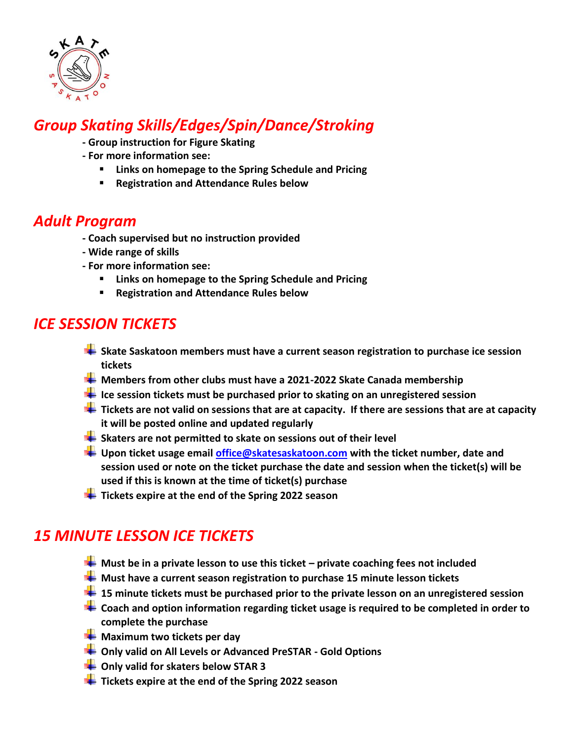

## *Group Skating Skills/Edges/Spin/Dance/Stroking*

- **- Group instruction for Figure Skating**
- **- For more information see:** 
	- **Links on homepage to the Spring Schedule and Pricing**
	- **Registration and Attendance Rules below**

#### *Adult Program*

- **- Coach supervised but no instruction provided**
- **- Wide range of skills**
- **- For more information see:**
	- **Links on homepage to the Spring Schedule and Pricing**
	- **Registration and Attendance Rules below**

### *ICE SESSION TICKETS*

- **Skate Saskatoon members must have a current season registration to purchase ice session tickets**
- **H** Members from other clubs must have a 2021-2022 Skate Canada membership
- **Ice session tickets must be purchased prior to skating on an unregistered session**
- **Tickets are not valid on sessions that are at capacity. If there are sessions that are at capacity it will be posted online and updated regularly**
- **Skaters are not permitted to skate on sessions out of their level**
- **Upon ticket usage email [office@skatesaskatoon.com](mailto:office@skatesaskatoon.com) with the ticket number, date and session used or note on the ticket purchase the date and session when the ticket(s) will be used if this is known at the time of ticket(s) purchase**
- **T** Tickets expire at the end of the Spring 2022 season

### *15 MINUTE LESSON ICE TICKETS*

- **Must be in a private lesson to use this ticket – private coaching fees not included**
- **Must have a current season registration to purchase 15 minute lesson tickets**
- **15 minute tickets must be purchased prior to the private lesson on an unregistered session**
- **Coach and option information regarding ticket usage is required to be completed in order to complete the purchase**
- **Maximum two tickets per day**
- **Only valid on All Levels or Advanced PreSTAR - Gold Options**
- **Example 3** Only valid for skaters below STAR 3
- **T** Tickets expire at the end of the Spring 2022 season